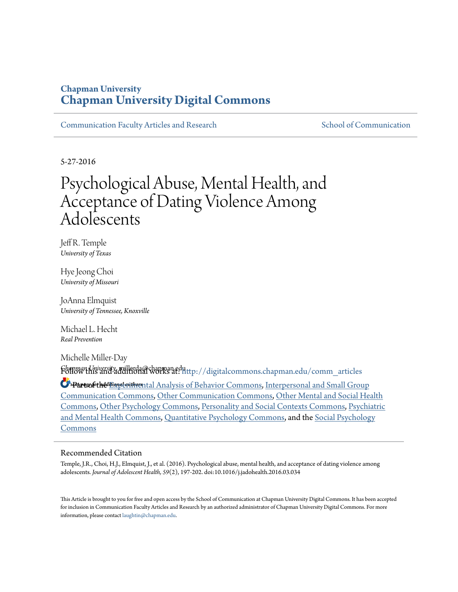# **Chapman University [Chapman University Digital Commons](http://digitalcommons.chapman.edu?utm_source=digitalcommons.chapman.edu%2Fcomm_articles%2F47&utm_medium=PDF&utm_campaign=PDFCoverPages)**

[Communication Faculty Articles and Research](http://digitalcommons.chapman.edu/comm_articles?utm_source=digitalcommons.chapman.edu%2Fcomm_articles%2F47&utm_medium=PDF&utm_campaign=PDFCoverPages) [School of Communication](http://digitalcommons.chapman.edu/communication?utm_source=digitalcommons.chapman.edu%2Fcomm_articles%2F47&utm_medium=PDF&utm_campaign=PDFCoverPages)

5-27-2016

# Psychological Abuse, Mental Health, and Acceptance of Dating Violence Among Adolescents

Jeff R. Temple *University of Texas*

Hye Jeong Choi *University of Missouri*

JoAnna Elmquist *University of Tennessee, Knoxville*

Michael L. Hecht *Real Prevention*

Michelle Miller-Day *Chapman University*, millerda@chapman.edu Follow this and additional works at: [http://digitalcommons.chapman.edu/comm\\_articles](http://digitalcommons.chapman.edu/comm_articles?utm_source=digitalcommons.chapman.edu%2Fcomm_articles%2F47&utm_medium=PDF&utm_campaign=PDFCoverPages)

**S** Parts of the [Experimental Analysis of Behavior Commons](http://network.bepress.com/hgg/discipline/1236?utm_source=digitalcommons.chapman.edu%2Fcomm_articles%2F47&utm_medium=PDF&utm_campaign=PDFCoverPages), [Interpersonal and Small Group](http://network.bepress.com/hgg/discipline/332?utm_source=digitalcommons.chapman.edu%2Fcomm_articles%2F47&utm_medium=PDF&utm_campaign=PDFCoverPages) [Communication Commons,](http://network.bepress.com/hgg/discipline/332?utm_source=digitalcommons.chapman.edu%2Fcomm_articles%2F47&utm_medium=PDF&utm_campaign=PDFCoverPages) [Other Communication Commons](http://network.bepress.com/hgg/discipline/339?utm_source=digitalcommons.chapman.edu%2Fcomm_articles%2F47&utm_medium=PDF&utm_campaign=PDFCoverPages), [Other Mental and Social Health](http://network.bepress.com/hgg/discipline/717?utm_source=digitalcommons.chapman.edu%2Fcomm_articles%2F47&utm_medium=PDF&utm_campaign=PDFCoverPages) [Commons,](http://network.bepress.com/hgg/discipline/717?utm_source=digitalcommons.chapman.edu%2Fcomm_articles%2F47&utm_medium=PDF&utm_campaign=PDFCoverPages) [Other Psychology Commons,](http://network.bepress.com/hgg/discipline/415?utm_source=digitalcommons.chapman.edu%2Fcomm_articles%2F47&utm_medium=PDF&utm_campaign=PDFCoverPages) [Personality and Social Contexts Commons](http://network.bepress.com/hgg/discipline/413?utm_source=digitalcommons.chapman.edu%2Fcomm_articles%2F47&utm_medium=PDF&utm_campaign=PDFCoverPages), [Psychiatric](http://network.bepress.com/hgg/discipline/711?utm_source=digitalcommons.chapman.edu%2Fcomm_articles%2F47&utm_medium=PDF&utm_campaign=PDFCoverPages) [and Mental Health Commons](http://network.bepress.com/hgg/discipline/711?utm_source=digitalcommons.chapman.edu%2Fcomm_articles%2F47&utm_medium=PDF&utm_campaign=PDFCoverPages), [Quantitative Psychology Commons](http://network.bepress.com/hgg/discipline/1041?utm_source=digitalcommons.chapman.edu%2Fcomm_articles%2F47&utm_medium=PDF&utm_campaign=PDFCoverPages), and the [Social Psychology](http://network.bepress.com/hgg/discipline/414?utm_source=digitalcommons.chapman.edu%2Fcomm_articles%2F47&utm_medium=PDF&utm_campaign=PDFCoverPages) [Commons](http://network.bepress.com/hgg/discipline/414?utm_source=digitalcommons.chapman.edu%2Fcomm_articles%2F47&utm_medium=PDF&utm_campaign=PDFCoverPages)

## Recommended Citation

Temple, J.R., Choi, H.J., Elmquist, J., et al. (2016). Psychological abuse, mental health, and acceptance of dating violence among adolescents. *Journal of Adolescent Health, 59*(2), 197-202. doi:10.1016/j.jadohealth.2016.03.034

This Article is brought to you for free and open access by the School of Communication at Chapman University Digital Commons. It has been accepted for inclusion in Communication Faculty Articles and Research by an authorized administrator of Chapman University Digital Commons. For more information, please contact [laughtin@chapman.edu](mailto:laughtin@chapman.edu).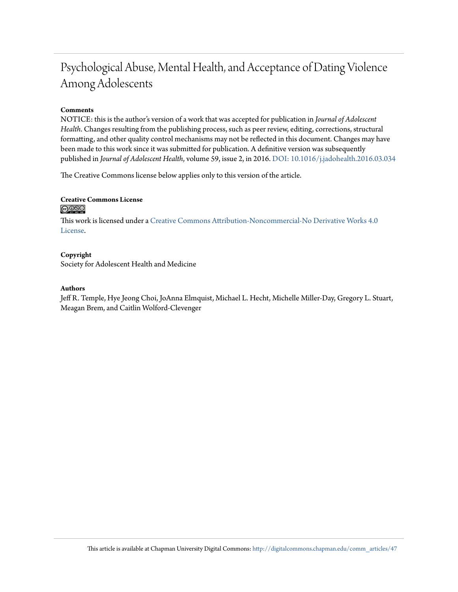# Psychological Abuse, Mental Health, and Acceptance of Dating Violence Among Adolescents

# **Comments**

NOTICE: this is the author's version of a work that was accepted for publication in *Journal of Adolescent Health*. Changes resulting from the publishing process, such as peer review, editing, corrections, structural formatting, and other quality control mechanisms may not be reflected in this document. Changes may have been made to this work since it was submitted for publication. A definitive version was subsequently published in *Journal of Adolescent Health*, volume 59, issue 2, in 2016. [DOI: 10.1016/j.jadohealth.2016.03.034](http://dx.doi.org/10.1016/j.jadohealth.2016.03.034)

The Creative Commons license below applies only to this version of the article.

# **Creative Commons License**  $\bigcirc$   $\circ$

This work is licensed under a [Creative Commons Attribution-Noncommercial-No Derivative Works 4.0](http://creativecommons.org/licenses/by-nc-nd/4.0/) [License.](http://creativecommons.org/licenses/by-nc-nd/4.0/)

# **Copyright**

Society for Adolescent Health and Medicine

## **Authors**

Jeff R. Temple, Hye Jeong Choi, JoAnna Elmquist, Michael L. Hecht, Michelle Miller-Day, Gregory L. Stuart, Meagan Brem, and Caitlin Wolford-Clevenger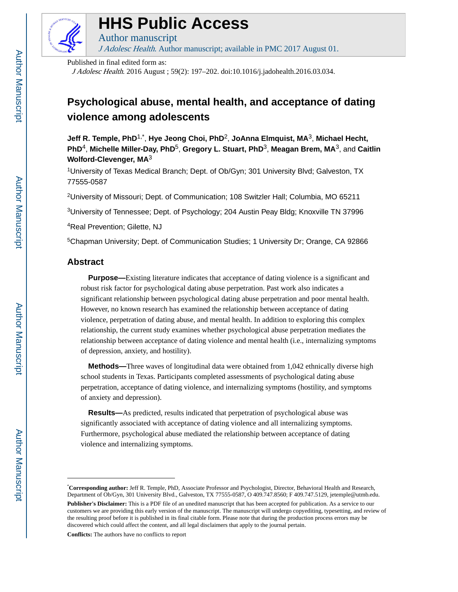

# **HHS Public Access**

Author manuscript J Adolesc Health. Author manuscript; available in PMC 2017 August 01.

Published in final edited form as:

J Adolesc Health. 2016 August ; 59(2): 197–202. doi:10.1016/j.jadohealth.2016.03.034.

# **Psychological abuse, mental health, and acceptance of dating violence among adolescents**

**Jeff R. Temple, PhD**1,\* , **Hye Jeong Choi, PhD**2, **JoAnna Elmquist, MA**3, **Michael Hecht, PhD**4, **Michelle Miller-Day, PhD**5, **Gregory L. Stuart, PhD**3, **Meagan Brem, MA**3, and **Caitlin Wolford-Clevenger, MA**<sup>3</sup>

<sup>1</sup>University of Texas Medical Branch; Dept. of Ob/Gyn; 301 University Blvd; Galveston, TX 77555-0587

<sup>2</sup>University of Missouri; Dept. of Communication; 108 Switzler Hall; Columbia, MO 65211

<sup>3</sup>University of Tennessee; Dept. of Psychology; 204 Austin Peay Bldg; Knoxville TN 37996

<sup>4</sup>Real Prevention; Gilette, NJ

<sup>5</sup>Chapman University; Dept. of Communication Studies; 1 University Dr; Orange, CA 92866

# **Abstract**

**Purpose—**Existing literature indicates that acceptance of dating violence is a significant and robust risk factor for psychological dating abuse perpetration. Past work also indicates a significant relationship between psychological dating abuse perpetration and poor mental health. However, no known research has examined the relationship between acceptance of dating violence, perpetration of dating abuse, and mental health. In addition to exploring this complex relationship, the current study examines whether psychological abuse perpetration mediates the relationship between acceptance of dating violence and mental health (i.e., internalizing symptoms of depression, anxiety, and hostility).

 **Methods—**Three waves of longitudinal data were obtained from 1,042 ethnically diverse high school students in Texas. Participants completed assessments of psychological dating abuse perpetration, acceptance of dating violence, and internalizing symptoms (hostility, and symptoms of anxiety and depression).

 **Results—**As predicted, results indicated that perpetration of psychological abuse was significantly associated with acceptance of dating violence and all internalizing symptoms. Furthermore, psychological abuse mediated the relationship between acceptance of dating violence and internalizing symptoms.

**Conflicts:** The authors have no conflicts to report

<sup>\*</sup>**Corresponding author:** Jeff R. Temple, PhD, Associate Professor and Psychologist, Director, Behavioral Health and Research, Department of Ob/Gyn, 301 University Blvd., Galveston, TX 77555-0587, O 409.747.8560; F 409.747.5129, jetemple@utmb.edu.

**Publisher's Disclaimer:** This is a PDF file of an unedited manuscript that has been accepted for publication. As a service to our customers we are providing this early version of the manuscript. The manuscript will undergo copyediting, typesetting, and review of the resulting proof before it is published in its final citable form. Please note that during the production process errors may be discovered which could affect the content, and all legal disclaimers that apply to the journal pertain.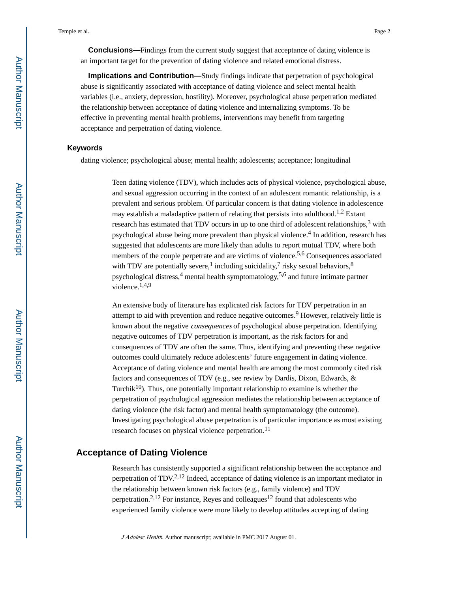**Conclusions—**Findings from the current study suggest that acceptance of dating violence is an important target for the prevention of dating violence and related emotional distress.

 **Implications and Contribution—**Study findings indicate that perpetration of psychological abuse is significantly associated with acceptance of dating violence and select mental health variables (i.e., anxiety, depression, hostility). Moreover, psychological abuse perpetration mediated the relationship between acceptance of dating violence and internalizing symptoms. To be effective in preventing mental health problems, interventions may benefit from targeting acceptance and perpetration of dating violence.

## **Keywords**

dating violence; psychological abuse; mental health; adolescents; acceptance; longitudinal

Teen dating violence (TDV), which includes acts of physical violence, psychological abuse, and sexual aggression occurring in the context of an adolescent romantic relationship, is a prevalent and serious problem. Of particular concern is that dating violence in adolescence may establish a maladaptive pattern of relating that persists into adulthood.<sup>1,2</sup> Extant research has estimated that TDV occurs in up to one third of adolescent relationships,  $3$  with psychological abuse being more prevalent than physical violence.<sup>4</sup> In addition, research has suggested that adolescents are more likely than adults to report mutual TDV, where both members of the couple perpetrate and are victims of violence.<sup>5,6</sup> Consequences associated with TDV are potentially severe,<sup>1</sup> including suicidality,<sup>7</sup> risky sexual behaviors,<sup>8</sup> psychological distress,<sup>4</sup> mental health symptomatology,<sup>5,6</sup> and future intimate partner violence.1,4,9

An extensive body of literature has explicated risk factors for TDV perpetration in an attempt to aid with prevention and reduce negative outcomes.<sup>9</sup> However, relatively little is known about the negative consequences of psychological abuse perpetration. Identifying negative outcomes of TDV perpetration is important, as the risk factors for and consequences of TDV are often the same. Thus, identifying and preventing these negative outcomes could ultimately reduce adolescents' future engagement in dating violence. Acceptance of dating violence and mental health are among the most commonly cited risk factors and consequences of TDV (e.g., see review by Dardis, Dixon, Edwards, & Turchik<sup>10</sup>). Thus, one potentially important relationship to examine is whether the perpetration of psychological aggression mediates the relationship between acceptance of dating violence (the risk factor) and mental health symptomatology (the outcome). Investigating psychological abuse perpetration is of particular importance as most existing research focuses on physical violence perpetration.<sup>11</sup>

# **Acceptance of Dating Violence**

Research has consistently supported a significant relationship between the acceptance and perpetration of TDV.2,12 Indeed, acceptance of dating violence is an important mediator in the relationship between known risk factors (e.g., family violence) and TDV perpetration.<sup>2,12</sup> For instance, Reyes and colleagues<sup>12</sup> found that adolescents who experienced family violence were more likely to develop attitudes accepting of dating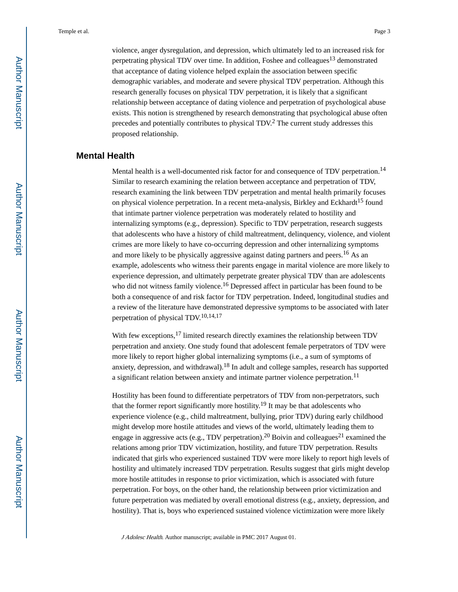violence, anger dysregulation, and depression, which ultimately led to an increased risk for perpetrating physical TDV over time. In addition, Foshee and colleagues<sup>13</sup> demonstrated that acceptance of dating violence helped explain the association between specific demographic variables, and moderate and severe physical TDV perpetration. Although this research generally focuses on physical TDV perpetration, it is likely that a significant relationship between acceptance of dating violence and perpetration of psychological abuse exists. This notion is strengthened by research demonstrating that psychological abuse often precedes and potentially contributes to physical TDV.<sup>2</sup> The current study addresses this proposed relationship.

# **Mental Health**

Mental health is a well-documented risk factor for and consequence of TDV perpetration.<sup>14</sup> Similar to research examining the relation between acceptance and perpetration of TDV, research examining the link between TDV perpetration and mental health primarily focuses on physical violence perpetration. In a recent meta-analysis, Birkley and Eckhardt<sup>15</sup> found that intimate partner violence perpetration was moderately related to hostility and internalizing symptoms (e.g., depression). Specific to TDV perpetration, research suggests that adolescents who have a history of child maltreatment, delinquency, violence, and violent crimes are more likely to have co-occurring depression and other internalizing symptoms and more likely to be physically aggressive against dating partners and peers.16 As an example, adolescents who witness their parents engage in marital violence are more likely to experience depression, and ultimately perpetrate greater physical TDV than are adolescents who did not witness family violence.<sup>16</sup> Depressed affect in particular has been found to be both a consequence of and risk factor for TDV perpetration. Indeed, longitudinal studies and a review of the literature have demonstrated depressive symptoms to be associated with later perpetration of physical TDV.10,14,17

With few exceptions,<sup>17</sup> limited research directly examines the relationship between TDV perpetration and anxiety. One study found that adolescent female perpetrators of TDV were more likely to report higher global internalizing symptoms (i.e., a sum of symptoms of anxiety, depression, and withdrawal).18 In adult and college samples, research has supported a significant relation between anxiety and intimate partner violence perpetration.<sup>11</sup>

Hostility has been found to differentiate perpetrators of TDV from non-perpetrators, such that the former report significantly more hostility.<sup>19</sup> It may be that adolescents who experience violence (e.g., child maltreatment, bullying, prior TDV) during early childhood might develop more hostile attitudes and views of the world, ultimately leading them to engage in aggressive acts (e.g., TDV perpetration).<sup>20</sup> Boivin and colleagues<sup>21</sup> examined the relations among prior TDV victimization, hostility, and future TDV perpetration. Results indicated that girls who experienced sustained TDV were more likely to report high levels of hostility and ultimately increased TDV perpetration. Results suggest that girls might develop more hostile attitudes in response to prior victimization, which is associated with future perpetration. For boys, on the other hand, the relationship between prior victimization and future perpetration was mediated by overall emotional distress (e.g., anxiety, depression, and hostility). That is, boys who experienced sustained violence victimization were more likely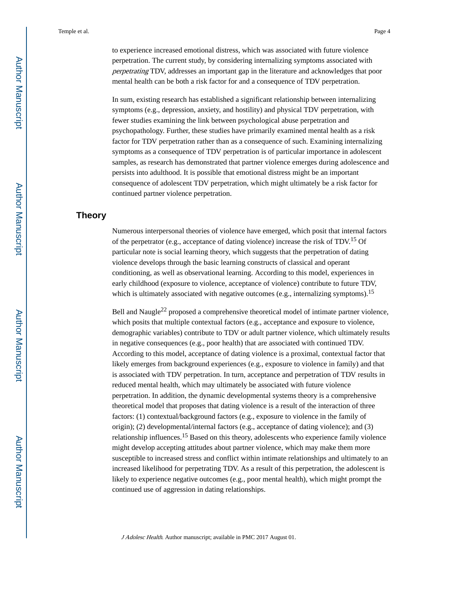to experience increased emotional distress, which was associated with future violence perpetration. The current study, by considering internalizing symptoms associated with perpetrating TDV, addresses an important gap in the literature and acknowledges that poor mental health can be both a risk factor for and a consequence of TDV perpetration.

In sum, existing research has established a significant relationship between internalizing symptoms (e.g., depression, anxiety, and hostility) and physical TDV perpetration, with fewer studies examining the link between psychological abuse perpetration and psychopathology. Further, these studies have primarily examined mental health as a risk factor for TDV perpetration rather than as a consequence of such. Examining internalizing symptoms as a consequence of TDV perpetration is of particular importance in adolescent samples, as research has demonstrated that partner violence emerges during adolescence and persists into adulthood. It is possible that emotional distress might be an important consequence of adolescent TDV perpetration, which might ultimately be a risk factor for continued partner violence perpetration.

# **Theory**

Numerous interpersonal theories of violence have emerged, which posit that internal factors of the perpetrator (e.g., acceptance of dating violence) increase the risk of TDV.15 Of particular note is social learning theory, which suggests that the perpetration of dating violence develops through the basic learning constructs of classical and operant conditioning, as well as observational learning. According to this model, experiences in early childhood (exposure to violence, acceptance of violence) contribute to future TDV, which is ultimately associated with negative outcomes (e.g., internalizing symptoms).<sup>15</sup>

Bell and Naugle<sup>22</sup> proposed a comprehensive theoretical model of intimate partner violence, which posits that multiple contextual factors (e.g., acceptance and exposure to violence, demographic variables) contribute to TDV or adult partner violence, which ultimately results in negative consequences (e.g., poor health) that are associated with continued TDV. According to this model, acceptance of dating violence is a proximal, contextual factor that likely emerges from background experiences (e.g., exposure to violence in family) and that is associated with TDV perpetration. In turn, acceptance and perpetration of TDV results in reduced mental health, which may ultimately be associated with future violence perpetration. In addition, the dynamic developmental systems theory is a comprehensive theoretical model that proposes that dating violence is a result of the interaction of three factors: (1) contextual/background factors (e.g., exposure to violence in the family of origin); (2) developmental/internal factors (e.g., acceptance of dating violence); and (3) relationship influences.15 Based on this theory, adolescents who experience family violence might develop accepting attitudes about partner violence, which may make them more susceptible to increased stress and conflict within intimate relationships and ultimately to an increased likelihood for perpetrating TDV. As a result of this perpetration, the adolescent is likely to experience negative outcomes (e.g., poor mental health), which might prompt the continued use of aggression in dating relationships.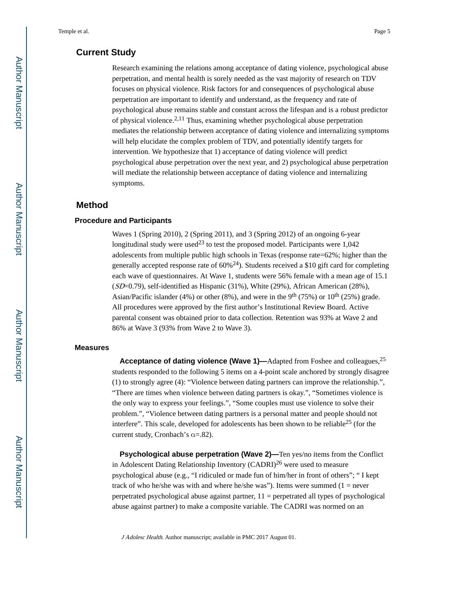# **Current Study**

Research examining the relations among acceptance of dating violence, psychological abuse perpetration, and mental health is sorely needed as the vast majority of research on TDV focuses on physical violence. Risk factors for and consequences of psychological abuse perpetration are important to identify and understand, as the frequency and rate of psychological abuse remains stable and constant across the lifespan and is a robust predictor of physical violence.2,11 Thus, examining whether psychological abuse perpetration mediates the relationship between acceptance of dating violence and internalizing symptoms will help elucidate the complex problem of TDV, and potentially identify targets for intervention. We hypothesize that 1) acceptance of dating violence will predict psychological abuse perpetration over the next year, and 2) psychological abuse perpetration will mediate the relationship between acceptance of dating violence and internalizing symptoms.

# **Method**

### **Procedure and Participants**

Waves 1 (Spring 2010), 2 (Spring 2011), and 3 (Spring 2012) of an ongoing 6-year longitudinal study were used<sup>23</sup> to test the proposed model. Participants were  $1,042$ adolescents from multiple public high schools in Texas (response rate=62%; higher than the generally accepted response rate of  $60\%^{24}$ ). Students received a \$10 gift card for completing each wave of questionnaires. At Wave 1, students were 56% female with a mean age of 15.1 (SD=0.79), self-identified as Hispanic (31%), White (29%), African American (28%), Asian/Pacific islander (4%) or other (8%), and were in the 9<sup>th</sup> (75%) or 10<sup>th</sup> (25%) grade. All procedures were approved by the first author's Institutional Review Board. Active parental consent was obtained prior to data collection. Retention was 93% at Wave 2 and 86% at Wave 3 (93% from Wave 2 to Wave 3).

### **Measures**

**Acceptance of dating violence (Wave 1)—Adapted from Foshee and colleagues,<sup>25</sup>** students responded to the following 5 items on a 4-point scale anchored by strongly disagree (1) to strongly agree (4): "Violence between dating partners can improve the relationship.", "There are times when violence between dating partners is okay.", "Sometimes violence is the only way to express your feelings.", "Some couples must use violence to solve their problem.", "Violence between dating partners is a personal matter and people should not interfere". This scale, developed for adolescents has been shown to be reliable25 (for the current study, Cronbach's α=.82).

**Psychological abuse perpetration (Wave 2)—Ten yes/no items from the Conflict** in Adolescent Dating Relationship Inventory  $(CADRI)^{26}$  were used to measure psychological abuse (e.g., "I ridiculed or made fun of him/her in front of others"; " I kept track of who he/she was with and where he/she was"). Items were summed  $(1 =$  never perpetrated psychological abuse against partner, 11 = perpetrated all types of psychological abuse against partner) to make a composite variable. The CADRI was normed on an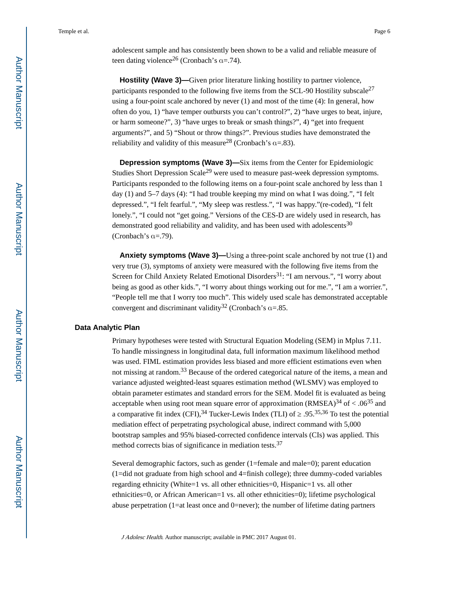adolescent sample and has consistently been shown to be a valid and reliable measure of teen dating violence<sup>26</sup> (Cronbach's  $\alpha$ =.74).

**Hostility (Wave 3)—**Given prior literature linking hostility to partner violence, participants responded to the following five items from the SCL-90 Hostility subscale<sup>27</sup> using a four-point scale anchored by never (1) and most of the time (4): In general, how often do you, 1) "have temper outbursts you can't control?", 2) "have urges to beat, injure, or harm someone?", 3) "have urges to break or smash things?", 4) "get into frequent arguments?", and 5) "Shout or throw things?". Previous studies have demonstrated the reliability and validity of this measure<sup>28</sup> (Cronbach's  $\alpha$ =.83).

**Depression symptoms (Wave 3)—Six items from the Center for Epidemiologic** Studies Short Depression Scale<sup>29</sup> were used to measure past-week depression symptoms. Participants responded to the following items on a four-point scale anchored by less than 1 day (1) and 5–7 days (4): "I had trouble keeping my mind on what I was doing.", "I felt depressed.", "I felt fearful.", "My sleep was restless.", "I was happy."(re-coded), "I felt lonely.", "I could not "get going." Versions of the CES-D are widely used in research, has demonstrated good reliability and validity, and has been used with adolescents<sup>30</sup> (Cronbach's  $\alpha = .79$ ).

 **Anxiety symptoms (Wave 3)—**Using a three-point scale anchored by not true (1) and very true (3), symptoms of anxiety were measured with the following five items from the Screen for Child Anxiety Related Emotional Disorders<sup>31</sup>: "I am nervous.", "I worry about being as good as other kids.", "I worry about things working out for me.", "I am a worrier.", "People tell me that I worry too much". This widely used scale has demonstrated acceptable convergent and discriminant validity<sup>32</sup> (Cronbach's  $\alpha$ =.85.

### **Data Analytic Plan**

Primary hypotheses were tested with Structural Equation Modeling (SEM) in Mplus 7.11. To handle missingness in longitudinal data, full information maximum likelihood method was used. FIML estimation provides less biased and more efficient estimations even when not missing at random.<sup>33</sup> Because of the ordered categorical nature of the items, a mean and variance adjusted weighted-least squares estimation method (WLSMV) was employed to obtain parameter estimates and standard errors for the SEM. Model fit is evaluated as being acceptable when using root mean square error of approximation  $(RMSEA)^{34}$  of < .06<sup>35</sup> and a comparative fit index (CFI),<sup>34</sup> Tucker-Lewis Index (TLI) of  $.95^{35,36}$  To test the potential mediation effect of perpetrating psychological abuse, indirect command with 5,000 bootstrap samples and 95% biased-corrected confidence intervals (CIs) was applied. This method corrects bias of significance in mediation tests.<sup>37</sup>

Several demographic factors, such as gender (1=female and male=0); parent education (1=did not graduate from high school and 4=finish college); three dummy-coded variables regarding ethnicity (White=1 vs. all other ethnicities=0, Hispanic=1 vs. all other ethnicities=0, or African American=1 vs. all other ethnicities=0); lifetime psychological abuse perpetration (1=at least once and 0=never); the number of lifetime dating partners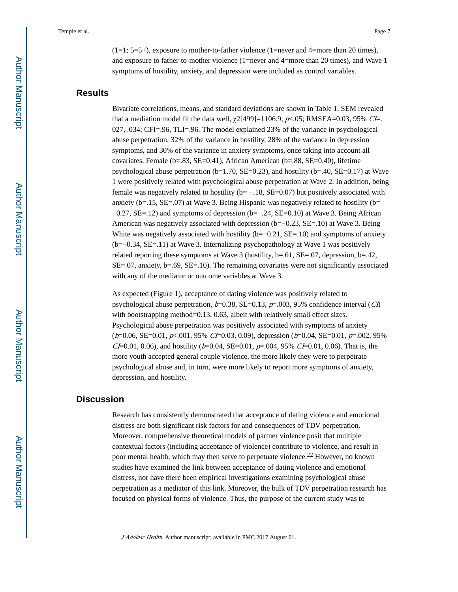$(1=1; 5=5+)$ , exposure to mother-to-father violence (1=never and 4=more than 20 times), and exposure to father-to-mother violence (1=never and 4=more than 20 times), and Wave 1 symptoms of hostility, anxiety, and depression were included as control variables.

# **Results**

Bivariate correlations, means, and standard deviations are shown in Table 1. SEM revealed that a mediation model fit the data well,  $\chi$ 2[499]=1106.9,  $p$  <.05; RMSEA=0.03, 95% CI=. 027, .034; CFI=.96, TLI=.96. The model explained 23% of the variance in psychological abuse perpetration, 32% of the variance in hostility, 28% of the variance in depression symptoms, and 30% of the variance in anxiety symptoms, once taking into account all covariates. Female (b=.83, SE=0.41), African American (b=.88, SE=0.40), lifetime psychological abuse perpetration  $(b=1.70, SE=0.23)$ , and hostility  $(b=.40, SE=0.17)$  at Wave 1 were positively related with psychological abuse perpetration at Wave 2. In addition, being female was negatively related to hostility ( $b = -.18$ ,  $SE = 0.07$ ) but positively associated with anxiety ( $b=15$ ,  $SE=.07$ ) at Wave 3. Being Hispanic was negatively related to hostility ( $b=$ −0.27, SE=.12) and symptoms of depression (b=−.24, SE=0.10) at Wave 3. Being African American was negatively associated with depression (b=−0.23, SE=.10) at Wave 3. Being White was negatively associated with hostility  $(b=-0.21, SE=.10)$  and symptoms of anxiety (b=−0.34, SE=.11) at Wave 3. Internalizing psychopathology at Wave 1 was positively related reporting these symptoms at Wave 3 (hostility, b=.61, SE=.07, depression, b=.42, SE=.07, anxiety, b=.69, SE=.10). The remaining covariates were not significantly associated with any of the mediator or outcome variables at Wave 3.

As expected (Figure 1), acceptance of dating violence was positively related to psychological abuse perpetration,  $b=0.38$ , SE=0.13,  $p=.003$ , 95% confidence interval (*CI*) with bootstrapping method=0.13, 0.63, albeit with relatively small effect sizes. Psychological abuse perpetration was positively associated with symptoms of anxiety  $(b=0.06, SE=0.01, p<.001, 95\% \; CL=0.03, 0.09)$ , depression  $(b=0.04, SE=0.01, p=.002, 95\%$  $CL=0.01, 0.06$ , and hostility ( $b=0.04$ , SE $=0.01, p=0.04, 95\%$  CI $=0.01, 0.06$ ). That is, the more youth accepted general couple violence, the more likely they were to perpetrate psychological abuse and, in turn, were more likely to report more symptoms of anxiety, depression, and hostility.

# **Discussion**

Research has consistently demonstrated that acceptance of dating violence and emotional distress are both significant risk factors for and consequences of TDV perpetration. Moreover, comprehensive theoretical models of partner violence posit that multiple contextual factors (including acceptance of violence) contribute to violence, and result in poor mental health, which may then serve to perpetuate violence.22 However, no known studies have examined the link between acceptance of dating violence and emotional distress, nor have there been empirical investigations examining psychological abuse perpetration as a mediator of this link. Moreover, the bulk of TDV perpetration research has focused on physical forms of violence. Thus, the purpose of the current study was to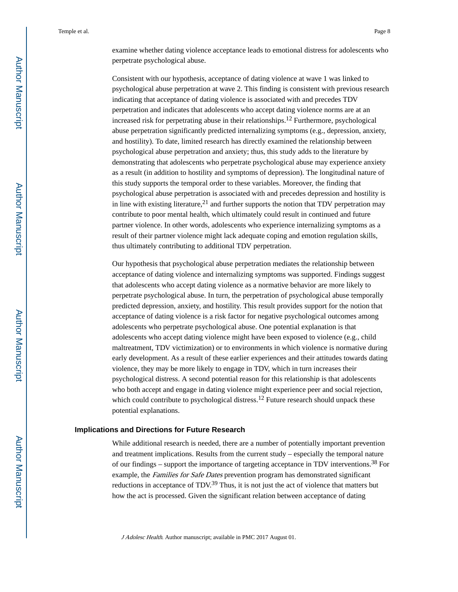examine whether dating violence acceptance leads to emotional distress for adolescents who perpetrate psychological abuse.

Consistent with our hypothesis, acceptance of dating violence at wave 1 was linked to psychological abuse perpetration at wave 2. This finding is consistent with previous research indicating that acceptance of dating violence is associated with and precedes TDV perpetration and indicates that adolescents who accept dating violence norms are at an increased risk for perpetrating abuse in their relationships.12 Furthermore, psychological abuse perpetration significantly predicted internalizing symptoms (e.g., depression, anxiety, and hostility). To date, limited research has directly examined the relationship between psychological abuse perpetration and anxiety; thus, this study adds to the literature by demonstrating that adolescents who perpetrate psychological abuse may experience anxiety as a result (in addition to hostility and symptoms of depression). The longitudinal nature of this study supports the temporal order to these variables. Moreover, the finding that psychological abuse perpetration is associated with and precedes depression and hostility is in line with existing literature,<sup>21</sup> and further supports the notion that TDV perpetration may contribute to poor mental health, which ultimately could result in continued and future partner violence. In other words, adolescents who experience internalizing symptoms as a result of their partner violence might lack adequate coping and emotion regulation skills, thus ultimately contributing to additional TDV perpetration.

Our hypothesis that psychological abuse perpetration mediates the relationship between acceptance of dating violence and internalizing symptoms was supported. Findings suggest that adolescents who accept dating violence as a normative behavior are more likely to perpetrate psychological abuse. In turn, the perpetration of psychological abuse temporally predicted depression, anxiety, and hostility. This result provides support for the notion that acceptance of dating violence is a risk factor for negative psychological outcomes among adolescents who perpetrate psychological abuse. One potential explanation is that adolescents who accept dating violence might have been exposed to violence (e.g., child maltreatment, TDV victimization) or to environments in which violence is normative during early development. As a result of these earlier experiences and their attitudes towards dating violence, they may be more likely to engage in TDV, which in turn increases their psychological distress. A second potential reason for this relationship is that adolescents who both accept and engage in dating violence might experience peer and social rejection, which could contribute to psychological distress.<sup>12</sup> Future research should unpack these potential explanations.

### **Implications and Directions for Future Research**

While additional research is needed, there are a number of potentially important prevention and treatment implications. Results from the current study – especially the temporal nature of our findings – support the importance of targeting acceptance in TDV interventions.38 For example, the *Families for Safe Dates* prevention program has demonstrated significant reductions in acceptance of  $TDV<sup>39</sup>$  Thus, it is not just the act of violence that matters but how the act is processed. Given the significant relation between acceptance of dating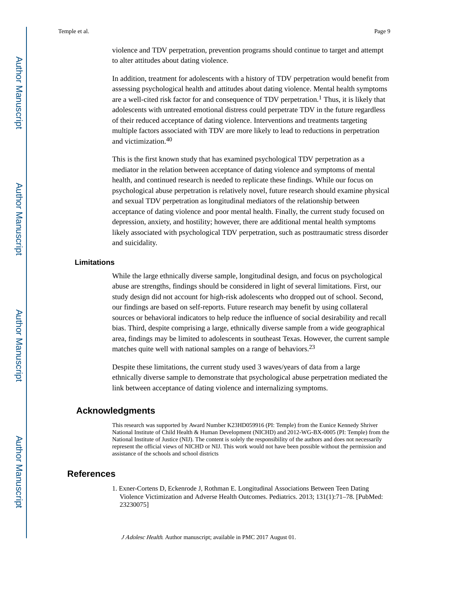violence and TDV perpetration, prevention programs should continue to target and attempt to alter attitudes about dating violence.

In addition, treatment for adolescents with a history of TDV perpetration would benefit from assessing psychological health and attitudes about dating violence. Mental health symptoms are a well-cited risk factor for and consequence of TDV perpetration.<sup>1</sup> Thus, it is likely that adolescents with untreated emotional distress could perpetrate TDV in the future regardless of their reduced acceptance of dating violence. Interventions and treatments targeting multiple factors associated with TDV are more likely to lead to reductions in perpetration and victimization.<sup>40</sup>

This is the first known study that has examined psychological TDV perpetration as a mediator in the relation between acceptance of dating violence and symptoms of mental health, and continued research is needed to replicate these findings. While our focus on psychological abuse perpetration is relatively novel, future research should examine physical and sexual TDV perpetration as longitudinal mediators of the relationship between acceptance of dating violence and poor mental health. Finally, the current study focused on depression, anxiety, and hostility; however, there are additional mental health symptoms likely associated with psychological TDV perpetration, such as posttraumatic stress disorder and suicidality.

### **Limitations**

While the large ethnically diverse sample, longitudinal design, and focus on psychological abuse are strengths, findings should be considered in light of several limitations. First, our study design did not account for high-risk adolescents who dropped out of school. Second, our findings are based on self-reports. Future research may benefit by using collateral sources or behavioral indicators to help reduce the influence of social desirability and recall bias. Third, despite comprising a large, ethnically diverse sample from a wide geographical area, findings may be limited to adolescents in southeast Texas. However, the current sample matches quite well with national samples on a range of behaviors.<sup>23</sup>

Despite these limitations, the current study used 3 waves/years of data from a large ethnically diverse sample to demonstrate that psychological abuse perpetration mediated the link between acceptance of dating violence and internalizing symptoms.

# **Acknowledgments**

This research was supported by Award Number K23HD059916 (PI: Temple) from the Eunice Kennedy Shriver National Institute of Child Health & Human Development (NICHD) and 2012-WG-BX-0005 (PI: Temple) from the National Institute of Justice (NIJ). The content is solely the responsibility of the authors and does not necessarily represent the official views of NICHD or NIJ. This work would not have been possible without the permission and assistance of the schools and school districts

# **References**

1. Exner-Cortens D, Eckenrode J, Rothman E. Longitudinal Associations Between Teen Dating Violence Victimization and Adverse Health Outcomes. Pediatrics. 2013; 131(1):71–78. [PubMed: 23230075]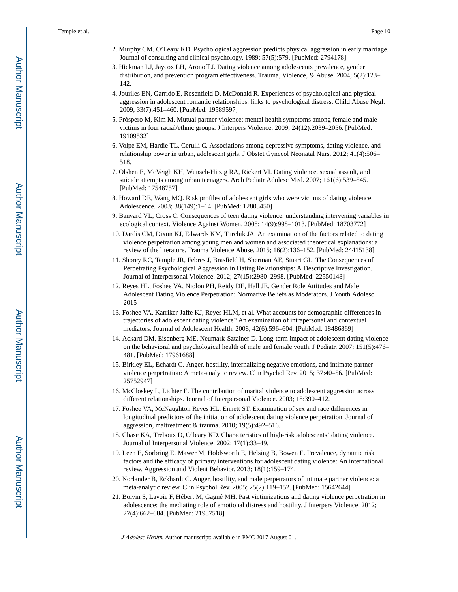- 2. Murphy CM, O'Leary KD. Psychological aggression predicts physical aggression in early marriage. Journal of consulting and clinical psychology. 1989; 57(5):579. [PubMed: 2794178]
- 3. Hickman LJ, Jaycox LH, Aronoff J. Dating violence among adolescents prevalence, gender distribution, and prevention program effectiveness. Trauma, Violence, & Abuse. 2004; 5(2):123– 142.
- 4. Jouriles EN, Garrido E, Rosenfield D, McDonald R. Experiences of psychological and physical aggression in adolescent romantic relationships: links to psychological distress. Child Abuse Negl. 2009; 33(7):451–460. [PubMed: 19589597]
- 5. Próspero M, Kim M. Mutual partner violence: mental health symptoms among female and male victims in four racial/ethnic groups. J Interpers Violence. 2009; 24(12):2039–2056. [PubMed: 19109532]
- 6. Volpe EM, Hardie TL, Cerulli C. Associations among depressive symptoms, dating violence, and relationship power in urban, adolescent girls. J Obstet Gynecol Neonatal Nurs. 2012; 41(4):506– 518.
- 7. Olshen E, McVeigh KH, Wunsch-Hitzig RA, Rickert VI. Dating violence, sexual assault, and suicide attempts among urban teenagers. Arch Pediatr Adolesc Med. 2007; 161(6):539–545. [PubMed: 17548757]
- 8. Howard DE, Wang MQ. Risk profiles of adolescent girls who were victims of dating violence. Adolescence. 2003; 38(149):1–14. [PubMed: 12803450]
- 9. Banyard VL, Cross C. Consequences of teen dating violence: understanding intervening variables in ecological context. Violence Against Women. 2008; 14(9):998–1013. [PubMed: 18703772]
- 10. Dardis CM, Dixon KJ, Edwards KM, Turchik JA. An examination of the factors related to dating violence perpetration among young men and women and associated theoretical explanations: a review of the literature. Trauma Violence Abuse. 2015; 16(2):136–152. [PubMed: 24415138]
- 11. Shorey RC, Temple JR, Febres J, Brasfield H, Sherman AE, Stuart GL. The Consequences of Perpetrating Psychological Aggression in Dating Relationships: A Descriptive Investigation. Journal of Interpersonal Violence. 2012; 27(15):2980–2998. [PubMed: 22550148]
- 12. Reyes HL, Foshee VA, Niolon PH, Reidy DE, Hall JE. Gender Role Attitudes and Male Adolescent Dating Violence Perpetration: Normative Beliefs as Moderators. J Youth Adolesc. 2015
- 13. Foshee VA, Karriker-Jaffe KJ, Reyes HLM, et al. What accounts for demographic differences in trajectories of adolescent dating violence? An examination of intrapersonal and contextual mediators. Journal of Adolescent Health. 2008; 42(6):596–604. [PubMed: 18486869]
- 14. Ackard DM, Eisenberg ME, Neumark-Sztainer D. Long-term impact of adolescent dating violence on the behavioral and psychological health of male and female youth. J Pediatr. 2007; 151(5):476– 481. [PubMed: 17961688]
- 15. Birkley EL, Echardt C. Anger, hostility, internalizing negative emotions, and intimate partner violence perpetration: A meta-analytic review. Clin Psychol Rev. 2015; 37:40–56. [PubMed: 25752947]
- 16. McCloskey L, Lichter E. The contribution of marital violence to adolescent aggression across different relationships. Journal of Interpersonal Violence. 2003; 18:390–412.
- 17. Foshee VA, McNaughton Reyes HL, Ennett ST. Examination of sex and race differences in longitudinal predictors of the initiation of adolescent dating violence perpetration. Journal of aggression, maltreatment & trauma. 2010; 19(5):492–516.
- 18. Chase KA, Treboux D, O'leary KD. Characteristics of high-risk adolescents' dating violence. Journal of Interpersonal Violence. 2002; 17(1):33–49.
- 19. Leen E, Sorbring E, Mawer M, Holdsworth E, Helsing B, Bowen E. Prevalence, dynamic risk factors and the efficacy of primary interventions for adolescent dating violence: An international review. Aggression and Violent Behavior. 2013; 18(1):159–174.
- 20. Norlander B, Eckhardt C. Anger, hostility, and male perpetrators of intimate partner violence: a meta-analytic review. Clin Psychol Rev. 2005; 25(2):119–152. [PubMed: 15642644]
- 21. Boivin S, Lavoie F, Hébert M, Gagné MH. Past victimizations and dating violence perpetration in adolescence: the mediating role of emotional distress and hostility. J Interpers Violence. 2012; 27(4):662–684. [PubMed: 21987518]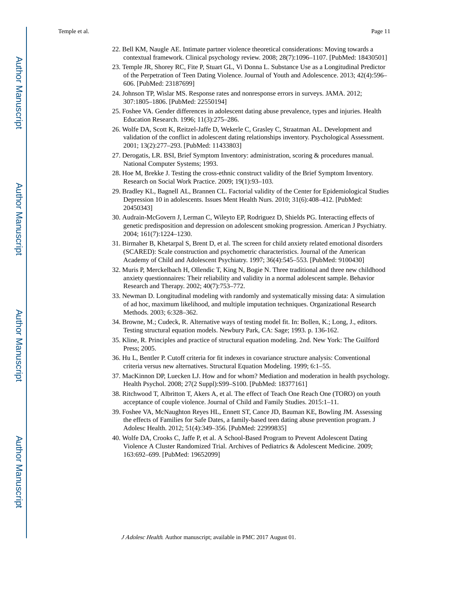- 22. Bell KM, Naugle AE. Intimate partner violence theoretical considerations: Moving towards a contextual framework. Clinical psychology review. 2008; 28(7):1096–1107. [PubMed: 18430501]
- 23. Temple JR, Shorey RC, Fite P, Stuart GL, Vi Donna L. Substance Use as a Longitudinal Predictor of the Perpetration of Teen Dating Violence. Journal of Youth and Adolescence. 2013; 42(4):596– 606. [PubMed: 23187699]
- 24. Johnson TP, Wislar MS. Response rates and nonresponse errors in surveys. JAMA. 2012; 307:1805–1806. [PubMed: 22550194]
- 25. Foshee VA. Gender differences in adolescent dating abuse prevalence, types and injuries. Health Education Research. 1996; 11(3):275–286.
- 26. Wolfe DA, Scott K, Reitzel-Jaffe D, Wekerle C, Grasley C, Straatman AL. Development and validation of the conflict in adolescent dating relationships inventory. Psychological Assessment. 2001; 13(2):277–293. [PubMed: 11433803]
- 27. Derogatis, LR. BSI, Brief Symptom Inventory: administration, scoring & procedures manual. National Computer Systems; 1993.
- 28. Hoe M, Brekke J. Testing the cross-ethnic construct validity of the Brief Symptom Inventory. Research on Social Work Practice. 2009; 19(1):93–103.
- 29. Bradley KL, Bagnell AL, Brannen CL. Factorial validity of the Center for Epidemiological Studies Depression 10 in adolescents. Issues Ment Health Nurs. 2010; 31(6):408–412. [PubMed: 20450343]
- 30. Audrain-McGovern J, Lerman C, Wileyto EP, Rodriguez D, Shields PG. Interacting effects of genetic predisposition and depression on adolescent smoking progression. American J Psychiatry. 2004; 161(7):1224–1230.
- 31. Birmaher B, Khetarpal S, Brent D, et al. The screen for child anxiety related emotional disorders (SCARED): Scale construction and psychometric characteristics. Journal of the American Academy of Child and Adolescent Psychiatry. 1997; 36(4):545–553. [PubMed: 9100430]
- 32. Muris P, Merckelbach H, Ollendic T, King N, Bogie N. Three traditional and three new childhood anxiety questionnaires: Their reliability and validity in a normal adolescent sample. Behavior Research and Therapy. 2002; 40(7):753–772.
- 33. Newman D. Longitudinal modeling with randomly and systematically missing data: A simulation of ad hoc, maximum likelihood, and multiple imputation techniques. Organizational Research Methods. 2003; 6:328–362.
- 34. Browne, M.; Cudeck, R. Alternative ways of testing model fit. In: Bollen, K.; Long, J., editors. Testing structural equation models. Newbury Park, CA: Sage; 1993. p. 136-162.
- 35. Kline, R. Principles and practice of structural equation modeling. 2nd. New York: The Guilford Press; 2005.
- 36. Hu L, Bentler P. Cutoff criteria for fit indexes in covariance structure analysis: Conventional criteria versus new alternatives. Structural Equation Modeling. 1999; 6:1–55.
- 37. MacKinnon DP, Luecken LJ. How and for whom? Mediation and moderation in health psychology. Health Psychol. 2008; 27(2 Suppl):S99–S100. [PubMed: 18377161]
- 38. Ritchwood T, Albritton T, Akers A, et al. The effect of Teach One Reach One (TORO) on youth acceptance of couple violence. Journal of Child and Family Studies. 2015:1–11.
- 39. Foshee VA, McNaughton Reyes HL, Ennett ST, Cance JD, Bauman KE, Bowling JM. Assessing the effects of Families for Safe Dates, a family-based teen dating abuse prevention program. J Adolesc Health. 2012; 51(4):349–356. [PubMed: 22999835]
- 40. Wolfe DA, Crooks C, Jaffe P, et al. A School-Based Program to Prevent Adolescent Dating Violence A Cluster Randomized Trial. Archives of Pediatrics & Adolescent Medicine. 2009; 163:692–699. [PubMed: 19652099]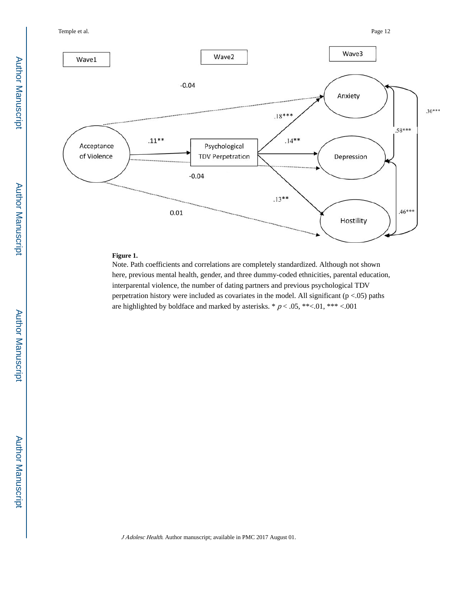

# **Figure 1.**

Note. Path coefficients and correlations are completely standardized. Although not shown here, previous mental health, gender, and three dummy-coded ethnicities, parental education, interparental violence, the number of dating partners and previous psychological TDV perpetration history were included as covariates in the model. All significant ( $p < .05$ ) paths are highlighted by boldface and marked by asterisks.  $* p < .05, **< .01, ** < .001$